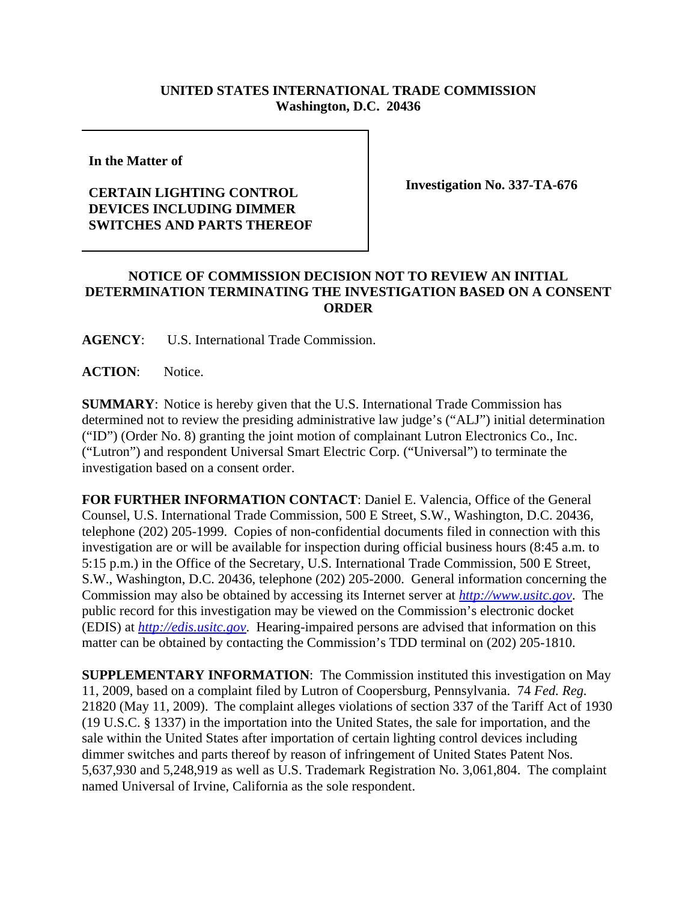## **UNITED STATES INTERNATIONAL TRADE COMMISSION Washington, D.C. 20436**

**In the Matter of** 

## **CERTAIN LIGHTING CONTROL DEVICES INCLUDING DIMMER SWITCHES AND PARTS THEREOF**

**Investigation No. 337-TA-676**

## **NOTICE OF COMMISSION DECISION NOT TO REVIEW AN INITIAL DETERMINATION TERMINATING THE INVESTIGATION BASED ON A CONSENT ORDER**

**AGENCY**: U.S. International Trade Commission.

**ACTION**: Notice.

**SUMMARY**: Notice is hereby given that the U.S. International Trade Commission has determined not to review the presiding administrative law judge's ("ALJ") initial determination ("ID") (Order No. 8) granting the joint motion of complainant Lutron Electronics Co., Inc. ("Lutron") and respondent Universal Smart Electric Corp. ("Universal") to terminate the investigation based on a consent order.

**FOR FURTHER INFORMATION CONTACT**: Daniel E. Valencia, Office of the General Counsel, U.S. International Trade Commission, 500 E Street, S.W., Washington, D.C. 20436, telephone (202) 205-1999. Copies of non-confidential documents filed in connection with this investigation are or will be available for inspection during official business hours (8:45 a.m. to 5:15 p.m.) in the Office of the Secretary, U.S. International Trade Commission, 500 E Street, S.W., Washington, D.C. 20436, telephone (202) 205-2000. General information concerning the Commission may also be obtained by accessing its Internet server at *http://www.usitc.gov*. The public record for this investigation may be viewed on the Commission's electronic docket (EDIS) at *http://edis.usitc.gov*. Hearing-impaired persons are advised that information on this matter can be obtained by contacting the Commission's TDD terminal on (202) 205-1810.

**SUPPLEMENTARY INFORMATION**: The Commission instituted this investigation on May 11, 2009, based on a complaint filed by Lutron of Coopersburg, Pennsylvania. 74 *Fed. Reg.* 21820 (May 11, 2009). The complaint alleges violations of section 337 of the Tariff Act of 1930 (19 U.S.C. § 1337) in the importation into the United States, the sale for importation, and the sale within the United States after importation of certain lighting control devices including dimmer switches and parts thereof by reason of infringement of United States Patent Nos. 5,637,930 and 5,248,919 as well as U.S. Trademark Registration No. 3,061,804. The complaint named Universal of Irvine, California as the sole respondent.